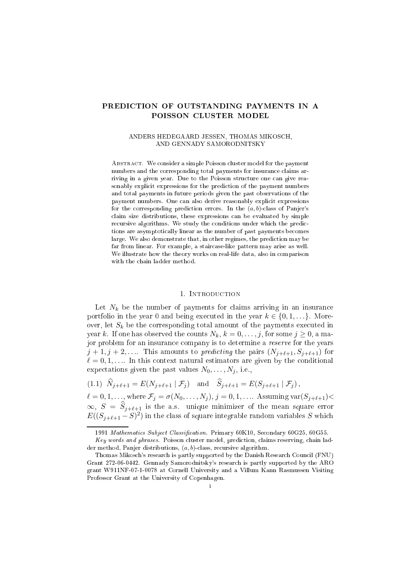# PREDICTION OF OUTSTANDING PAYMENTS IN A POISSON CLUSTER MODEL

#### ANDERS HEDEGAARD JESSEN, THOMAS MIKOSCH, AND GENNADY SAMORODNITSKY

ABSTRACT. We consider a simple Poisson cluster model for the payment numbers and the corresponding total payments for insurance claims arriving in a given year. Due to the Poisson structure one can give reasonably explicit expressions for the prediction of the payment numbers and total payments in future periods given the past observations of the payment numbers. One can also derive reasonably explicit expressions for the corresponding prediction errors. In the  $(a, b)$ -class of Panjer's claim size distributions, these expressions can be evaluated by simple recursive algorithms. We study the conditions under which the predictions are asymptoti
ally linear as the number of past payments be
omes large. We also demonstrate that, in other regimes, the prediction may be far from linear. For example, a stair
ase-like pattern may arise as well. We illustrate how the theory works on real-life data, also in comparison with the chain ladder method.

#### 1. INTRODUCTION

Let  $N_k$  be the number of payments for claims arriving in an insurance portfolio in the year 0 and being executed in the year  $k \in \{0, 1, \ldots\}$ . Moreover, let  $S_k$  be the corresponding total amount of the payments executed in year k. If one has observed the counts  $N_k$ ,  $k = 0, \ldots, j$ , for some  $j \ge 0$ , a major problem for an insurance company is to determine a *reserve* for the years  $j+1, j+2, \ldots$  This amounts to *predicting* the pairs  $(N_{j+\ell+1}, S_{j+\ell+1})$  for  $\ell = 0, 1, \ldots$  In this context natural estimators are given by the conditional expectations given the past values  $N_0, \ldots, N_j$ , i.e.

$$
(1.1) \ \hat{N}_{j+\ell+1} = E(N_{j+\ell+1} | \mathcal{F}_j) \quad \text{and} \quad \hat{S}_{j+\ell+1} = E(S_{j+\ell+1} | \mathcal{F}_j),
$$

 $\ell = 0, 1, \ldots,$  where  $\mathcal{F}_j = \sigma(N_0, \ldots, N_j), j = 0, 1, \ldots$  Assuming var $(S_{j+\ell+1})$  $\infty, S = S_{j+\ell+1}$  is the a.s. unique minimizer of the mean square error  $E((S_{j+\ell+1}-S)^2)$  in the class of square integrable random variables S which

<sup>1991</sup> Mathematics Subject Classification. Primary 60K10, Secondary 60G25, 60G55. Key words and phrases. Poisson cluster model, prediction, claims reserving, chain ladder method, Panjer distributions,  $(a, b)$ -class, recursive algorithm.

Thomas Mikos
h's resear
h is partly supported by the Danish Resear
h Coun
il (FNU) Grant 272-06-0442. Gennady Samorodnitsky's resear
h is partly supported by the ARO grant W911NF-07-1-0078 at Cornell University and a Villum Kann Rasmussen Visiting Professor Grant at the University of Copenhagen.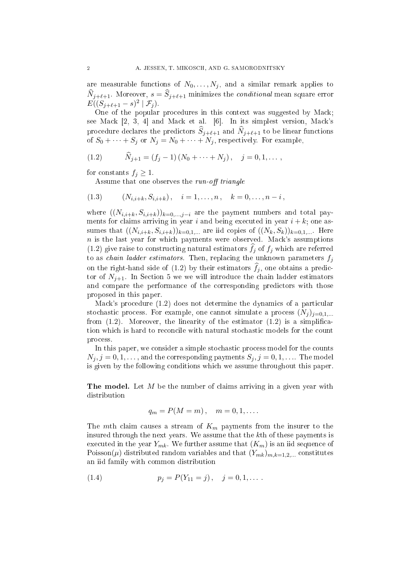are measurable functions of  $N_0, \ldots, N_j$ , and a similar remark applies to  $N_{j+\ell+1}$ . Moreover,  $s = S_{j+\ell+1}$  minimizes the *conditional* mean square error  $E((S_{j+\ell+1} - s)^2 | \mathcal{F}_j).$ 

One of the popular procedures in this context was suggested by Mack; see Mack [2, 3, 4] and Mack et al. [6]. In its simplest version, Mack's procedure declares the predictors  $S_{j+\ell+1}$  and  $N_{j+\ell+1}$  to be linear functions of  $S_0 + \cdots + S_j$  or  $N_j = N_0 + \cdots + N_j$ , respectively. For example,

(1.2) 
$$
\widehat{N}_{j+1} = (f_j - 1) (N_0 + \cdots + N_j), \quad j = 0, 1, \ldots,
$$

for constants  $f_j \geq 1$ .

Assume that one observes the run-off triangle

$$
(1.3) \qquad (N_{i,i+k}, S_{i,i+k}), \quad i = 1, \ldots, n, \quad k = 0, \ldots, n-i,
$$

where  $((N_{i,i+k}, S_{i,i+k}))_{k=0,\ldots,j-i}$  are the payment numbers and total payments for claims arriving in year i and being executed in year  $i + k$ ; one assumes that  $((N_{i,i+k}, S_{i,i+k}))_{k=0,1,...}$  are iid copies of  $((N_k, S_k))_{k=0,1,...}$  Here  $n$  is the last year for which payments were observed. Mack's assumptions (1.2) give raise to constructing natural estimators  $f_j$  of  $f_j$  which are referred to as *chain ladder estimators*. Then, replacing the unknown parameters  $f_j$ on the right-hand side of  $(1.2)$  by their estimators  $f_j$ , one obtains a predictor of  $N_{j+1}$ . In Section 5 we we will introduce the chain ladder estimators and compare the performance of the corresponding predictors with those proposed in this paper.

Mack's procedure (1.2) does not determine the dynamics of a particular stochastic process. For example, one cannot simulate a process  $(N_i)_{i=0,1,\dots}$ from  $(1.2)$ . Moreover, the linearity of the estimator  $(1.2)$  is a simplification which is hard to reconcile with natural stochastic models for the count pro
ess.

In this paper, we consider a simple stochastic process model for the counts  $N_i, j = 0, 1, \ldots$ , and the corresponding payments  $S_i, j = 0, 1, \ldots$  The model is given by the following onditions whi
h we assume throughout this paper.

The model. Let  $M$  be the number of claims arriving in a given year with distribution

$$
q_m = P(M = m), \quad m = 0, 1, \dots.
$$

The mth claim causes a stream of  $K_m$  payments from the insurer to the insured through the next years. We assume that the kth of these payments is executed in the year  $Y_{mk}$ . We further assume that  $(K_m)$  is an iid sequence of Poisson( $\mu$ ) distributed random variables and that  $(Y_{mk})_{m,k=1,2,...}$  constitutes an iid family with ommon distribution

(1.4) 
$$
p_j = P(Y_{11} = j), \quad j = 0, 1, \dots.
$$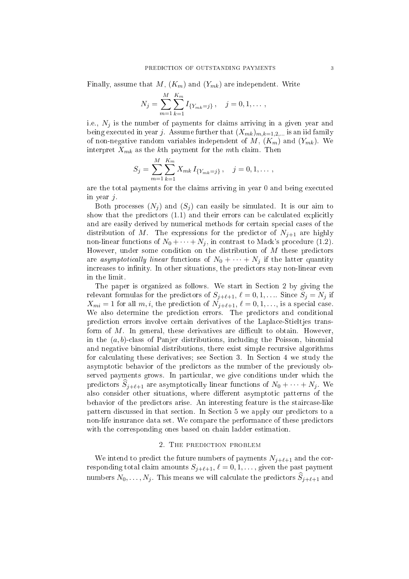Finally, assume that  $M$ ,  $(K_m)$  and  $(Y_{mk})$  are independent. Write

$$
N_j = \sum_{m=1}^{M} \sum_{k=1}^{K_m} I_{\{Y_{mk}=j\}}, \quad j = 0, 1, \dots,
$$

i.e.,  $N_i$  is the number of payments for claims arriving in a given year and being executed in year j. Assume further that  $(X_{mk})_{m,k=1,2,...}$  is an iid family of non-negative random variables independent of M,  $(K_m)$  and  $(Y_{mk})$ . We interpret  $X_{mk}$  as the kth payment for the mth claim. Then

$$
S_j = \sum_{m=1}^{M} \sum_{k=1}^{K_m} X_{mk} I_{\{Y_{mk}=j\}}, \quad j = 0, 1, \dots,
$$

are the total payments for the laims arriving in year 0 and being exe
uted in year  $j$ .

Both processes  $(N_i)$  and  $(S_i)$  can easily be simulated. It is our aim to show that the predictors  $(1.1)$  and their errors can be calculated explicitly and are easily derived by numerical methods for certain special cases of the distribution of M. The expressions for the predictor of  $N_{i+1}$  are highly non-linear functions of  $N_0 + \cdots + N_j$ , in contrast to Mack's procedure (1.2). However, under some condition on the distribution of  $M$  these predictors are asymptotically linear functions of  $N_0 + \cdots + N_j$  if the latter quantity increases to infinity. In other situations, the predictors stay non-linear even in the limit.

The paper is organized as follows. We start in Section 2 by giving the relevant formulas for the predictors of  $S_{j+\ell+1}$ ,  $\ell = 0, 1, \ldots$  Since  $S_j = N_j$  if  $X_{mi} = 1$  for all  $m, i$ , the prediction of  $N_{j+\ell+1}, \ell = 0, 1, \ldots$ , is a special case. We also determine the prediction errors. The predictors and conditional predi
tion errors involve ertain derivatives of the Lapla
e-Stieltjes transform of  $M$ . In general, these derivatives are difficult to obtain. However, in the  $(a, b)$ -class of Panjer distributions, including the Poisson, binomial and negative binomial distributions, there exist simple recursive algorithms for calculating these derivatives; see Section 3. In Section 4 we study the asymptoti behavior of the predi
tors as the number of the previously observed payments grows. In particular, we give conditions under which the predictors  $S_{j+\ell+1}$  are asymptotically linear functions of  $N_0 + \cdots + N_j$ . We also consider other situations, where different asymptotic patterns of the behavior of the predictors arise. An interesting feature is the staircase-like pattern dis
ussed in that se
tion. In Se
tion 5 we apply our predi
tors to a non-life insuran
e data set. We ompare the performan
e of these predi
tors with the corresponding ones based on chain ladder estimation.

### 2. THE PREDICTION PROBLEM

We intend to predict the future numbers of payments  $N_{j+\ell+1}$  and the corresponding total claim amounts  $S_{j+\ell+1}$ ,  $\ell = 0, 1, \ldots$ , given the past payment numbers  $N_0, \ldots, N_j$ . This means we will calculate the predictors  $S_{j+\ell+1}$  and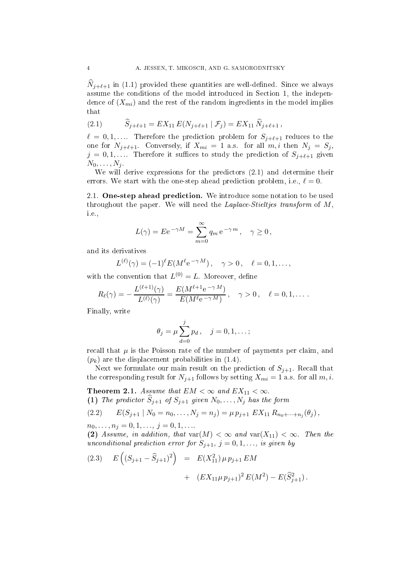$N_{j+\ell+1}$  in (1.1) provided these quantities are well-defined. Since we always assume the conditions of the model introduced in Section 1, the independence of  $(X_{mi})$  and the rest of the random ingredients in the model implies that

(2.1) 
$$
\widehat{S}_{j+\ell+1} = EX_{11} E(N_{j+\ell+1} | \mathcal{F}_j) = EX_{11} \widehat{N}_{j+\ell+1},
$$

 $\ell = 0, 1, \ldots$  Therefore the prediction problem for  $S_{j+\ell+1}$  reduces to the one for  $N_{j+\ell+1}$ . Conversely, if  $X_{mi} = 1$  a.s. for all  $m, i$  then  $N_j = S_j$ ,  $j = 0, 1, \ldots$  Therefore it suffices to study the prediction of  $S_{j+\ell+1}$  given  $N_0, \ldots, N_j$ .

We will derive expressions for the predictors  $(2.1)$  and determine their errors. We start with the one-step ahead prediction problem, i.e.,  $\ell = 0$ .

2.1. One-step ahead prediction. We introduce some notation to be used throughout the paper. We will need the *Laplace-Stieltjes transform* of  $M$ , i.e.,

$$
L(\gamma) = E e^{-\gamma M} = \sum_{m=0}^{\infty} q_m e^{-\gamma m}, \quad \gamma \ge 0,
$$

and its derivatives

$$
L^{(\ell)}(\gamma) = (-1)^{\ell} E(M^{\ell} e^{-\gamma M}), \quad \gamma > 0, \quad \ell = 0, 1, \dots,
$$

with the convention that  $L^{(0)} = L$ . Moreover, define

$$
R_{\ell}(\gamma) = -\frac{L^{(\ell+1)}(\gamma)}{L^{(\ell)}(\gamma)} = \frac{E(M^{\ell+1}e^{-\gamma M})}{E(M^{\ell}e^{-\gamma M})}, \quad \gamma > 0, \quad \ell = 0, 1, \dots.
$$

Finally, write

$$
\theta_j = \mu \sum_{d=0}^j p_d, \quad j = 0, 1, \dots;
$$

recall that  $\mu$  is the Poisson rate of the number of payments per claim, and  $(p_k)$  are the displacement probabilities in  $(1.4)$ .

Next we formulate our main result on the prediction of  $S_{j+1}$ . Recall that the corresponding result for  $N_{j+1}$  follows by setting  $X_{mi} = 1$  a.s. for all  $m, i$ .

Theorem 2.1. Assume that  $EM < \infty$  and  $EX_{11} < \infty$ . (1) The predictor  $\widehat{S}_{j+1}$  of  $S_{j+1}$  given  $N_0, \ldots, N_j$  has the form

(2.2) 
$$
E(S_{j+1} | N_0 = n_0, ..., N_j = n_j) = \mu p_{j+1} E X_{11} R_{n_0 + \dots + n_j}(\theta_j),
$$

 $n_0, \ldots, n_j = 0, 1, \ldots, j = 0, 1, \ldots$ 

(2) Assume, in addition, that  $var(M) < \infty$  and  $var(X_{11}) < \infty$ . Then the unconditional prediction error for  $S_{j+1}$ ,  $j = 0, 1, \ldots$ , is given by

(2.3) 
$$
E((S_{j+1} - \widehat{S}_{j+1})^2) = E(X_{11}^2) \mu p_{j+1} EM
$$
  
+  $(EX_{11} \mu p_{j+1})^2 E(M^2) - E(\widehat{S}_{j+1}^2).$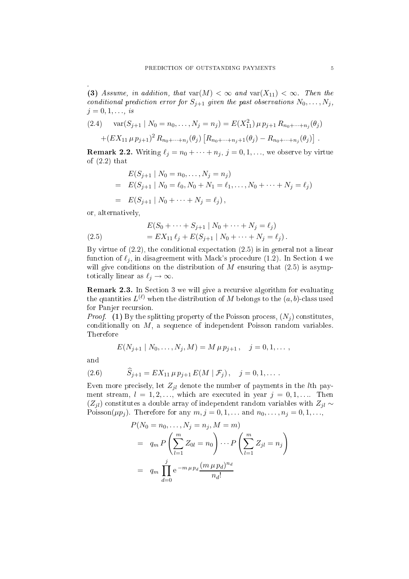(3) Assume, in addition, that  $var(M) < \infty$  and  $var(X_{11}) < \infty$ . Then the conditional prediction error for  $S_{i+1}$  given the past observations  $N_0, \ldots, N_j$ ,  $j = 0, 1, \ldots, is$ 

$$
(2.4) \quad \text{var}(S_{j+1} \mid N_0 = n_0, \dots, N_j = n_j) = E(X_{11}^2) \mu p_{j+1} R_{n_0 + \dots + n_j}(\theta_j)
$$

$$
+ (EX_{11} \mu p_{j+1})^2 R_{n_0 + \dots + n_j}(\theta_j) [R_{n_0 + \dots + n_j + 1}(\theta_j) - R_{n_0 + \dots + n_j}(\theta_j)].
$$

**Remark 2.2.** Writing  $\ell_j = n_0 + \cdots + n_j$ ,  $j = 0, 1, \ldots$ , we observe by virtue of  $(2.2)$  that

$$
E(S_{j+1} | N_0 = n_0, ..., N_j = n_j)
$$
  
=  $E(S_{j+1} | N_0 = \ell_0, N_0 + N_1 = \ell_1, ..., N_0 + \cdots + N_j = \ell_j)$   
=  $E(S_{j+1} | N_0 + \cdots + N_j = \ell_j),$ 

or, alternatively,

(2.5) 
$$
E(S_0 + \cdots + S_{j+1} | N_0 + \cdots + N_j = \ell_j) = EX_{11} \ell_j + E(S_{j+1} | N_0 + \cdots + N_j = \ell_j).
$$

By virtue of  $(2.2)$ , the conditional expectation  $(2.5)$  is in general not a linear function of  $\ell_j$ , in disagreement with Mack's procedure (1.2). In Section 4 we will give conditions on the distribution of  $M$  ensuring that  $(2.5)$  is asymptotically linear as  $\ell_j \to \infty$ .

**Remark 2.3.** In Section 3 we will give a recursive algorithm for evaluating the quantities  $L^{(\ell)}$  when the distribution of M belongs to the  $(a, b)$ -class used for Panjer recursion.

*Proof.* (1) By the splitting property of the Poisson process,  $(N_i)$  constitutes, conditionally on  $M$ , a sequence of independent Poisson random variables. Therefore

$$
E(N_{j+1} | N_0, \ldots, N_j, M) = M \mu p_{j+1}, \quad j = 0, 1, \ldots,
$$

and

(2.6) 
$$
S_{j+1} = EX_{11} \mu p_{j+1} E(M | \mathcal{F}_j), \quad j = 0, 1, \dots
$$

Even more precisely, let  $Z_{jl}$  denote the number of payments in the *l*th payment stream,  $l = 1, 2, \ldots$ , which are executed in year  $j = 0, 1, \ldots$  Then  $(Z_{jl})$  constitutes a double array of independent random variables with  $Z_{jl} \sim$ Poisson( $\mu p_j$ ). Therefore for any  $m, j = 0, 1, \ldots$  and  $n_0, \ldots, n_j = 0, 1, \ldots$ ,

$$
P(N_0 = n_0, \dots, N_j = n_j, M = m)
$$
  
=  $q_m P\left(\sum_{l=1}^m Z_{0l} = n_0\right) \cdots P\left(\sum_{l=1}^m Z_{jl} = n_j\right)$   
=  $q_m \prod_{d=0}^j e^{-m \mu p_d} \frac{(m \mu p_d)^{n_d}}{n_d!}$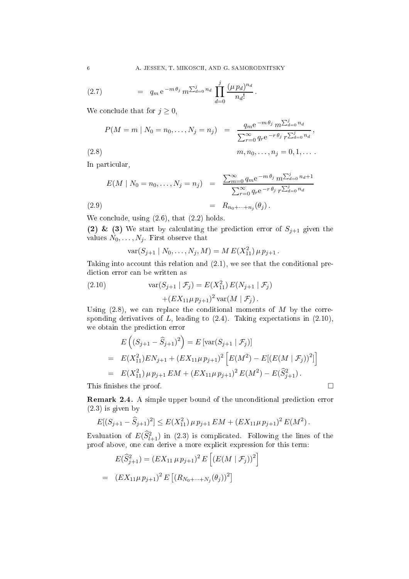(2.7) 
$$
= q_m e^{-m \theta_j} m^{\sum_{d=0}^j n_d} \prod_{d=0}^j \frac{(\mu p_d)^{n_d}}{n_d!}.
$$

We conclude that for  $j \geq 0$ ,

$$
P(M = m \mid N_0 = n_0, \dots, N_j = n_j) = \frac{q_m e^{-m \theta_j} m^{\sum_{d=0}^j n_d}}{\sum_{r=0}^{\infty} q_r e^{-r \theta_j} r^{\sum_{d=0}^j n_d}},
$$
\n(2.8)

In particular,

$$
E(M \mid N_0 = n_0, ..., N_j = n_j) = \frac{\sum_{m=0}^{\infty} q_m e^{-m \theta_j} m \sum_{d=0}^{j} n_d + 1}{\sum_{r=0}^{\infty} q_r e^{-r \theta_j} r \sum_{d=0}^{j} n_d}
$$
  
(2.9) 
$$
= R_{n_0 + \dots + n_j}(\theta_j).
$$

We conclude, using  $(2.6)$ , that  $(2.2)$  holds.

(2) & (3) We start by calculating the prediction error of  $S_{j+1}$  given the values  $N_0, \ldots, N_j$ . First observe that

$$
var(S_{j+1} | N_0, \ldots, N_j, M) = M E(X_{11}^2) \mu p_{j+1}.
$$

Taking into account this relation and  $(2.1)$ , we see that the conditional predi
tion error an be written as

(2.10) 
$$
\operatorname{var}(S_{j+1} | \mathcal{F}_j) = E(X_{11}^2) E(N_{j+1} | \mathcal{F}_j) + (EX_{11} \mu p_{j+1})^2 \operatorname{var}(M | \mathcal{F}_j).
$$

Using  $(2.8)$ , we can replace the conditional moments of M by the corresponding derivatives of  $L$ , leading to  $(2.4)$ . Taking expectations in  $(2.10)$ , we obtain the prediction error

$$
E\left((S_{j+1} - \hat{S}_{j+1})^2\right) = E\left[\text{var}(S_{j+1} | \mathcal{F}_j)\right]
$$
  
= 
$$
E(X_{11}^2)EN_{j+1} + (EX_{11}\mu p_{j+1})^2 \left[E(M^2) - E[(E(M | \mathcal{F}_j))^2]\right]
$$
  
= 
$$
E(X_{11}^2) \mu p_{j+1} EM + (EX_{11}\mu p_{j+1})^2 E(M^2) - E(\hat{S}_{j+1}^2).
$$

This finishes the proof.  $\Box$ 

Remark 2.4. A simple upper bound of the unconditional prediction error (2.3) is given by

$$
E[(S_{j+1} - \widehat{S}_{j+1})^2] \le E(X_{11}^2) \mu p_{j+1} E M + (E X_{11} \mu p_{j+1})^2 E(M^2).
$$

Evaluation of  $E(\widehat{S}_{l+1}^2)$  in (2.3) is complicated. Following the lines of the proof above, one can derive a more explicit expression for this term:

$$
E(\widehat{S}_{j+1}^2) = (EX_{11} \mu p_{j+1})^2 E\left[ (E(M \mid \mathcal{F}_j))^2 \right]
$$
  
= 
$$
(EX_{11} \mu p_{j+1})^2 E\left[ (R_{N_0 + \dots + N_j}(\theta_j))^2 \right]
$$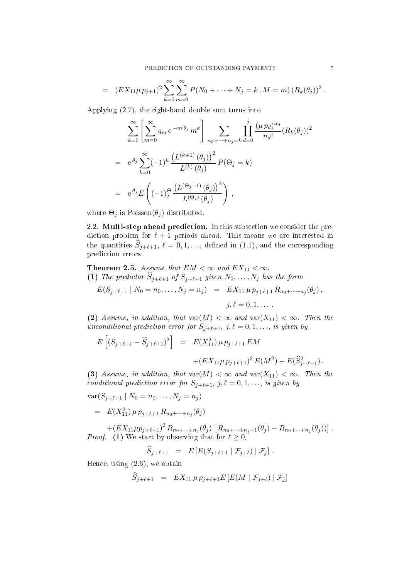$$
= (EX_{11}\mu p_{j+1})^2 \sum_{k=0}^{\infty} \sum_{m=0}^{\infty} P(N_0 + \dots + N_j = k, M = m) (R_k(\theta_j))^2.
$$

Applying (2.7), the right-hand double sum turns into

$$
\sum_{k=0}^{\infty} \left[ \sum_{m=0}^{\infty} q_m e^{-m \theta_j} m^k \right] \sum_{n_0 + \dots + n_j = k} \prod_{d=0}^j \frac{(\mu p_d)^{n_d}}{n_d!} (R_k(\theta_j))^2
$$
  
=  $e^{\theta_j} \sum_{k=0}^{\infty} (-1)^k \frac{\left( L^{(k+1)}(\theta_j) \right)^2}{L^{(k)}(\theta_j)} P(\Theta_j = k)$   
=  $e^{\theta_j} E \left( (-1)^{\Theta} \frac{\left( L^{(\Theta_j+1)}(\theta_j) \right)^2}{L^{(\Theta_j)}(\theta_j)} \right),$ 

where  $\Theta_j$  is  $Poisson(\theta_j)$  distributed.

2.2. Multi-step ahead prediction. In this subsection we consider the prediction problem for  $\ell + 1$  periods ahead. This means we are interested in the quantities  $\widehat{S}_{j+\ell+1}, \ell = 0, 1, \ldots$ , defined in (1.1), and the corresponding prediction errors.

Theorem 2.5. Assume that  $EM < \infty$  and  $EX_{11} < \infty$ . (1) The predictor  $S_{j+\ell+1}$  of  $S_{j+\ell+1}$  given  $N_0, \ldots, N_j$  has the form

$$
E(S_{j+\ell+1} | N_0 = n_0, \dots, N_j = n_j) = EX_{11} \mu p_{j+\ell+1} R_{n_0 + \dots + n_j}(\theta_j),
$$
  

$$
j, \ell = 0, 1, \dots.
$$

(2) Assume, in addition, that  $var(M) < \infty$  and  $var(X_{11}) < \infty$ . Then the unconditional prediction error for  $S_{j+\ell+1}, j,\ell=0,1,\ldots$ , is given by

$$
E\left[ (S_{j+\ell+1} - \hat{S}_{j+\ell+1})^2 \right] = E(X_{11}^2) \mu p_{j+\ell+1} EM + (EX_{11}\mu p_{j+\ell+1})^2 E(M^2) - E(\hat{S}_{j+\ell+1}^2).
$$

(3) Assume, in addition, that  $var(M) < \infty$  and  $var(X_{11}) < \infty$ . Then the conditional prediction error for  $S_{j+\ell+1}, j,\ell = 0,1,...,$  is given by

 $var(S_{j+\ell+1} | N_0 = n_0, \ldots, N_j = n_j)$  $= E(X_{11}^2) \mu p_{j+\ell+1} R_{n_0+\cdots+n_j}(\theta_j)$ 

 $+(EX_{11}\mu p_{j+\ell+1})^2 R_{n_0+\cdots+n_j}(\theta_j) [R_{n_0+\cdots+n_j+1}(\theta_j)-R_{n_0+\cdots+n_j}(\theta_j)]$ . *Proof.* (1) We start by observing that for  $\ell \geq 0$ ,

$$
\widehat{S}_{j+\ell+1} = E\left[E(S_{j+\ell+1} | \mathcal{F}_{j+\ell}) | \mathcal{F}_j\right].
$$

Hen
e, using (2.6), we obtain

$$
\widehat{S}_{j+\ell+1} = EX_{11} \mu p_{j+\ell+1} E \left[ E(M \mid \mathcal{F}_{j+\ell}) \mid \mathcal{F}_{j} \right]
$$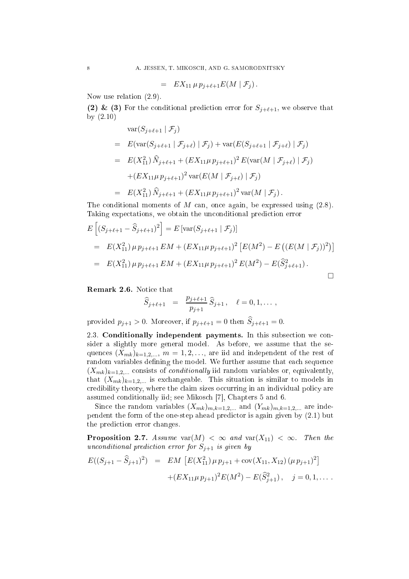$$
= EX_{11} \mu p_{j+\ell+1} E(M | \mathcal{F}_j).
$$

Now use relation (2.9).

(2) & (3) For the conditional prediction error for  $S_{j+\ell+1}$ , we observe that by (2.10)

$$
\begin{split}\n&\text{var}(S_{j+\ell+1} \mid \mathcal{F}_j) \\
&= E(\text{var}(S_{j+\ell+1} \mid \mathcal{F}_{j+\ell}) \mid \mathcal{F}_j) + \text{var}(E(S_{j+\ell+1} \mid \mathcal{F}_{j+\ell}) \mid \mathcal{F}_j) \\
&= E(X_{11}^2) \, \hat{N}_{j+\ell+1} + (EX_{11}\mu \, p_{j+\ell+1})^2 \, E(\text{var}(M \mid \mathcal{F}_{j+\ell}) \mid \mathcal{F}_j) \\
&\quad + (EX_{11}\mu \, p_{j+\ell+1})^2 \, \text{var}(E(M \mid \mathcal{F}_{j+\ell}) \mid \mathcal{F}_j) \\
&= E(X_{11}^2) \, \hat{N}_{j+\ell+1} + (EX_{11}\mu \, p_{j+\ell+1})^2 \, \text{var}(M \mid \mathcal{F}_j)\,.\n\end{split}
$$

The conditional moments of  $M$  can, once again, be expressed using  $(2.8)$ . Taking expectations, we obtain the unconditional prediction error

$$
E\left[ (S_{j+\ell+1} - \hat{S}_{j+\ell+1})^2 \right] = E\left[ \text{var}(S_{j+\ell+1} | \mathcal{F}_j) \right]
$$
  
=  $E(X_{11}^2) \mu p_{j+\ell+1} EM + (EX_{11} \mu p_{j+\ell+1})^2 \left[ E(M^2) - E\left( (E(M | \mathcal{F}_j))^2 \right) \right]$   
=  $E(X_{11}^2) \mu p_{j+\ell+1} EM + (EX_{11} \mu p_{j+\ell+1})^2 E(M^2) - E(\hat{S}_{j+\ell+1}^2).$ 

Remark 2.6. Notice that

$$
\widehat{S}_{j+\ell+1} = \frac{p_{j+\ell+1}}{p_{j+1}} \widehat{S}_{j+1}, \quad \ell = 0, 1, \dots,
$$

provided  $p_{j+1} > 0$ . Moreover, if  $p_{j+\ell+1} = 0$  then  $S_{j+\ell+1} = 0$ .

2.3. Conditionally independent payments. In this subsection we consider a slightly more general model. As before, we assume that the sequences  $(X_{mk})_{k=1,2,...}$ ,  $m=1,2,...$ , are iid and independent of the rest of random variables defining the model. We further assume that each sequence  $(X_{mk})_{k=1,2,...}$  consists of *conditionally* iid random variables or, equivalently, that  $(X_{mk})_{k=1,2,...}$  is exchangeable. This situation is similar to models in credibility theory, where the claim sizes occurring in an individual policy are assumed conditionally iid; see Mikosch [7], Chapters 5 and 6.

Since the random variables  $(X_{mk})_{m,k=1,2,...}$  and  $(Y_{mk})_{m,k=1,2,...}$  are independent the form of the one-step ahead predictor is again given by  $(2.1)$  but the predi
tion error hanges.

**Proposition 2.7.** Assume  $var(M) < \infty$  and  $var(X_{11}) < \infty$ . Then the unconditional prediction error for  $S_{j+1}$  is given by

$$
E((S_{j+1} - \widehat{S}_{j+1})^2) = EM \left[ E(X_{11}^2) \mu p_{j+1} + cov(X_{11}, X_{12}) (\mu p_{j+1})^2 \right] + (EX_{11} \mu p_{j+1})^2 E(M^2) - E(\widehat{S}_{j+1}^2), \quad j = 0, 1, ....
$$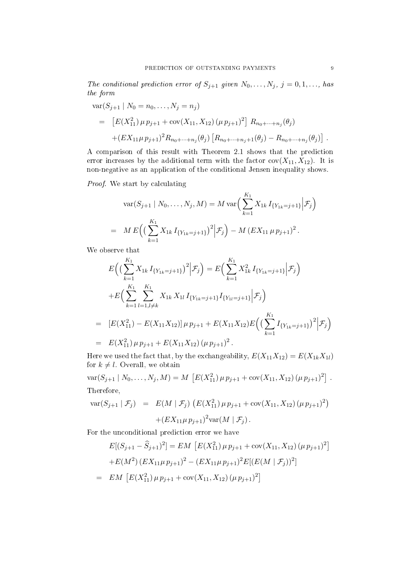The conditional prediction error of  $S_{j+1}$  given  $N_0, \ldots, N_j, j = 0, 1, \ldots,$  has the form

$$
\begin{split} \text{var}(S_{j+1} \mid N_0 = n_0, \dots, N_j = n_j) \\ &= \left[ E(X_{11}^2) \mu p_{j+1} + \text{cov}(X_{11}, X_{12}) \left( \mu p_{j+1} \right)^2 \right] R_{n_0 + \dots + n_j}(\theta_j) \\ &+ (EX_{11} \mu p_{j+1})^2 R_{n_0 + \dots + n_j}(\theta_j) \left[ R_{n_0 + \dots + n_j + 1}(\theta_j) - R_{n_0 + \dots + n_j}(\theta_j) \right] \,. \end{split}
$$

A omparison of this result with Theorem 2.1 shows that the predi
tion error increases by the additional term with the factor  $cov(X_{11}, X_{12})$ . It is non-negative as an application of the conditional Jensen inequality shows.

Proof. We start by calculating

$$
\operatorname{var}(S_{j+1} | N_0, \dots, N_j, M) = M \operatorname{var}\Big(\sum_{k=1}^{K_1} X_{1k} I_{\{Y_{1k} = j+1\}} \Big| \mathcal{F}_j \Big)
$$
  
= 
$$
M E\Big(\Big(\sum_{k=1}^{K_1} X_{1k} I_{\{Y_{1k} = j+1\}}\Big)^2 \Big| \mathcal{F}_j \Big) - M \left( E X_{11} \mu p_{j+1} \right)^2.
$$

We observe that

$$
E\Big(\Big(\sum_{k=1}^{K_1} X_{1k} I_{\{Y_{1k}=j+1\}}\Big)^2 \Big|\mathcal{F}_j\Big) = E\Big(\sum_{k=1}^{K_1} X_{1k}^2 I_{\{Y_{1k}=j+1\}} \Big|\mathcal{F}_j\Big)
$$
  
+
$$
E\Big(\sum_{k=1}^{K_1} \sum_{l=1, l \neq k}^{K_1} X_{1k} X_{1l} I_{\{Y_{1k}=j+1\}} I_{\{Y_{1l}=j+1\}} \Big|\mathcal{F}_j\Big)
$$
  
= 
$$
[E(X_{11}^2) - E(X_{11}X_{12})] \mu p_{j+1} + E(X_{11}X_{12})E\Big(\Big(\sum_{k=1}^{K_1} I_{\{Y_{1k}=j+1\}}\Big)^2 \Big|\mathcal{F}_j\Big)
$$
  
= 
$$
E(X_{11}^2) \mu p_{j+1} + E(X_{11}X_{12}) (\mu p_{j+1})^2.
$$

Here we used the fact that, by the exchangeability,  $E(X_{11}X_{12}) = E(X_{1k}X_{1l})$ for  $k \neq l$ . Overall, we obtain

$$
\text{var}(S_{j+1} | N_0, \dots, N_j, M) = M \left[ E(X_{11}^2) \mu p_{j+1} + \text{cov}(X_{11}, X_{12}) (\mu p_{j+1})^2 \right].
$$
  
Therefore,

$$
\begin{array}{rcl} \text{var}(S_{j+1} | \mathcal{F}_j) & = & E(M | \mathcal{F}_j) \left( E(X_{11}^2) \mu p_{j+1} + \text{cov}(X_{11}, X_{12}) \left( \mu p_{j+1} \right)^2 \right) \\ & + \left( E(X_{11} \mu p_{j+1})^2 \text{var}(M | \mathcal{F}_j) \right). \end{array}
$$

For the unconditional prediction error we have

$$
E[(S_{j+1} - \hat{S}_{j+1})^2] = EM \left[ E(X_{11}^2) \mu p_{j+1} + \text{cov}(X_{11}, X_{12}) (\mu p_{j+1})^2 \right]
$$

$$
+ E(M^2) (EX_{11} \mu p_{j+1})^2 - (EX_{11} \mu p_{j+1})^2 E[(E(M \mid \mathcal{F}_j))^2]
$$

$$
= EM \left[ E(X_{11}^2) \mu p_{j+1} + \text{cov}(X_{11}, X_{12}) (\mu p_{j+1})^2 \right]
$$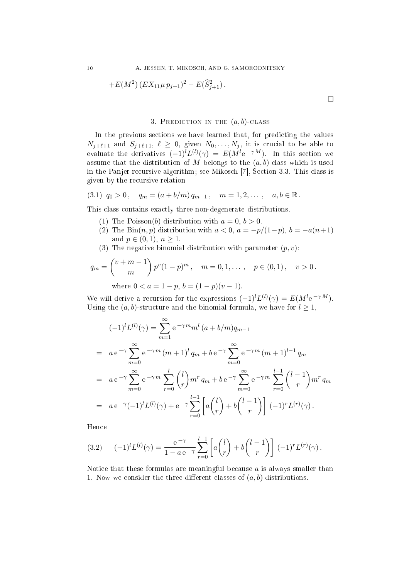+
$$
E(M^2) (EX_{11}\mu p_{j+1})^2 - E(\widehat{S}_{j+1}^2).
$$

#### 3. PREDICTION IN THE  $(a, b)$ -CLASS

In the previous sections we have learned that, for predicting the values  $N_{j+\ell+1}$  and  $S_{j+\ell+1}, \ell \geq 0$ , given  $N_0, \ldots, N_j$ , it is crucial to be able to evaluate the derivatives  $(-1)^l L^{(l)}(\gamma) = E(M^l e^{-\gamma M})$ . In this section we assume that the distribution of M belongs to the  $(a, b)$ -class which is used in the Panjer recursive algorithm; see Mikosch [7], Section 3.3. This class is given by the re
ursive relation

$$
(3.1) \t q_0 > 0, \t q_m = (a + b/m) q_{m-1}, \t m = 1, 2, ..., \t a, b \in \mathbb{R}.
$$

This lass ontains exa
tly three non-degenerate distributions.

- (1) The Poisson(b) distribution with  $a = 0, b > 0$ .
- (2) The Bin $(n, p)$  distribution with  $a < 0$ ,  $a = -p/(1-p)$ ,  $b = -a(n+1)$ and  $p \in (0,1)$ ,  $n \ge 1$ .
- (3) The negative binomial distribution with parameter  $(p, v)$ :

$$
q_m = {v + m - 1 \choose m} p^v (1 - p)^m, \quad m = 0, 1, ..., \quad p \in (0, 1), \quad v > 0.
$$
  
where  $0 < a = 1 - p, b = (1 - p)(v - 1).$ 

We will derive a recursion for the expressions  $(-1)^l L^{(l)}(\gamma) = E(M^l e^{-\gamma M}).$ Using the  $(a, b)$ -structure and the binomial formula, we have for  $l \geq 1$ ,

$$
(-1)^{l}L^{(l)}(\gamma) = \sum_{m=1}^{\infty} e^{-\gamma m} m^{l} (a+b/m) q_{m-1}
$$
  
=  $a e^{-\gamma} \sum_{m=0}^{\infty} e^{-\gamma m} (m+1)^{l} q_m + b e^{-\gamma} \sum_{m=0}^{\infty} e^{-\gamma m} (m+1)^{l-1} q_m$   
=  $a e^{-\gamma} \sum_{m=0}^{\infty} e^{-\gamma m} \sum_{r=0}^{l} {l \choose r} m^r q_m + b e^{-\gamma} \sum_{m=0}^{\infty} e^{-\gamma m} \sum_{r=0}^{l-1} {l-1 \choose r} m^r q_m$   
=  $a e^{-\gamma} (-1)^{l} L^{(l)}(\gamma) + e^{-\gamma} \sum_{r=0}^{l-1} \left[ a {l \choose r} + b {l-1 \choose r} \right] (-1)^r L^{(r)}(\gamma).$ 

Hen
e

$$
(3.2) \qquad (-1)^{l} L^{(l)}(\gamma) = \frac{e^{-\gamma}}{1 - a e^{-\gamma}} \sum_{r=0}^{l-1} \left[ a \binom{l}{r} + b \binom{l-1}{r} \right] (-1)^{r} L^{(r)}(\gamma).
$$

Notice that these formulas are meaningful because  $\alpha$  is always smaller than 1. Now we consider the three different classes of  $(a, b)$ -distributions.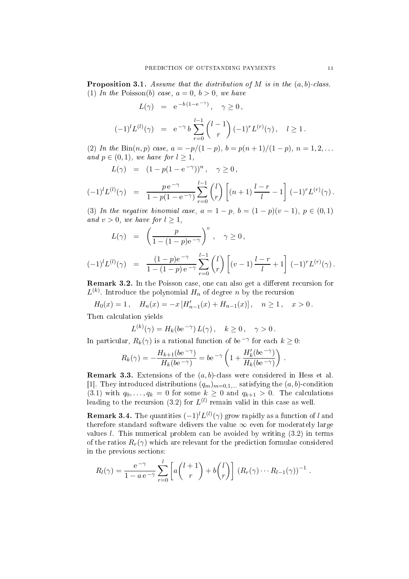**Proposition 3.1.** Assume that the distribution of M is in the  $(a, b)$ -class. (1) In the Poisson(b) case,  $a = 0, b > 0$ , we have

$$
L(\gamma) = e^{-b(1-e^{-\gamma})}, \quad \gamma \ge 0,
$$

$$
(-1)^{l}L^{(l)}(\gamma) = e^{-\gamma} b \sum_{r=0}^{l-1} {l-1 \choose r} (-1)^{r} L^{(r)}(\gamma), \quad l \ge 1.
$$

(2) In the Bin $(n, p)$  case,  $a = -p/(1-p)$ ,  $b = p(n + 1)/(1-p)$ ,  $n = 1, 2, ...$ and  $p \in (0,1)$ , we have for  $l \geq 1$ ,

$$
L(\gamma) = (1 - p(1 - e^{-\gamma}))^n, \quad \gamma \ge 0,
$$

$$
(-1)^{l}L^{(l)}(\gamma) = \frac{p e^{-\gamma}}{1-p(1-e^{-\gamma})} \sum_{r=0}^{l-1} {l \choose r} \left[ (n+1) \frac{l-r}{l} - 1 \right] (-1)^{r} L^{(r)}(\gamma).
$$

(3) In the negative binomial case,  $a = 1 - p$ ,  $b = (1 - p)(v - 1)$ ,  $p \in (0, 1)$ and  $v > 0$ , we have for  $l \geq 1$ ,

$$
L(\gamma) = \left(\frac{p}{1 - (1 - p)e^{-\gamma}}\right)^v, \quad \gamma \ge 0,
$$

$$
(-1)^{l}L^{(l)}(\gamma) = \frac{(1-p)e^{-\gamma}}{1-(1-p)e^{-\gamma}}\sum_{r=0}^{l-1} {l \choose r} \left[ (v-1)\frac{l-r}{l} + 1 \right] (-1)^{r}L^{(r)}(\gamma).
$$

**Remark 3.2.** In the Poisson case, one can also get a different recursion for  $L^{(k)}$ . Introduce the polynomial  $H_n$  of degree n by the recursion

 $H_0(x) = 1$ ,  $H_n(x) = -x [H'_{n-1}(x) + H_{n-1}(x)]$ ,  $n \ge 1$ ,  $x > 0$ . Then calculation yields

$$
L^{(k)}(\gamma) = H_k(b e^{-\gamma}) L(\gamma), \quad k \ge 0, \quad \gamma > 0.
$$

In particular,  $R_k(\gamma)$  is a rational function of  $be^{-\gamma}$  for each  $k \geq 0$ :

$$
R_k(\gamma) = -\frac{H_{k+1}(b\mathrm{e}^{-\gamma})}{H_k(b\mathrm{e}^{-\gamma})} = b\mathrm{e}^{-\gamma}\left(1 + \frac{H_k'(b\mathrm{e}^{-\gamma})}{H_k(b\mathrm{e}^{-\gamma})}\right)\,.
$$

**Remark 3.3.** Extensions of the  $(a, b)$ -class were considered in Hess et al. [1]. They introduced distributions  $(q_m)_{m=0,1,...}$  satisfying the  $(a, b)$ -condition  $(3.1)$  with  $q_0, \ldots, q_k = 0$  for some  $k \geq 0$  and  $q_{k+1} > 0$ . The calculations leading to the recursion (3.2) for  $L^{(l)}$  remain valid in this case as well.

**Remark 3.4.** The quantities  $(-1)^{l}L^{(l)}(\gamma)$  grow rapidly as a function of  $l$  and therefore standard software delivers the value  $\infty$  even for moderately large values  $l$ . This numerical problem can be avoided by writing  $(3.2)$  in terms of the ratios  $R_r(\gamma)$  which are relevant for the prediction formulae considered in the previous se
tions:

$$
R_l(\gamma) = \frac{e^{-\gamma}}{1 - a e^{-\gamma}} \sum_{r=0}^l \left[ a \binom{l+1}{r} + b \binom{l}{r} \right] \left( R_r(\gamma) \cdots R_{l-1}(\gamma) \right)^{-1}.
$$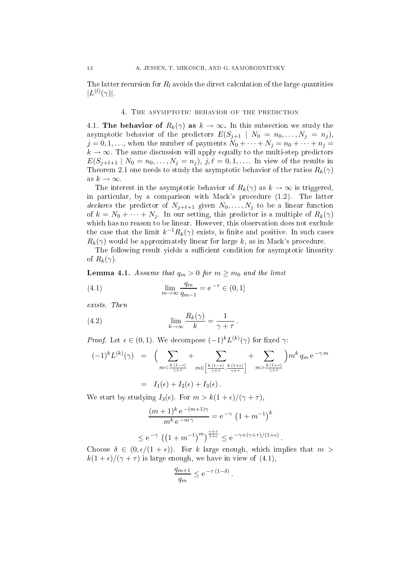The latter recursion for  $R_l$  avoids the direct calculation of the large quantities  $|L^{(l)}(\gamma)|.$ 

4.1. The behavior of  $R_k(\gamma)$  as  $k \to \infty$ . In this subsection we study the asymptotic behavior of the predictors  $E(S_{j+1} | N_0 = n_0, \ldots, N_j = n_j)$ ,  $j = 0, 1, \ldots$ , when the number of payments  $N_0 + \cdots + N_j = n_0 + \cdots + n_j =$  $k \to \infty$ . The same discussion will apply equally to the multi-step predictors  $E(S_{i+\ell+1} | N_0 = n_0, \ldots, N_i = n_i), j, \ell = 0, 1, \ldots$  In view of the results in Theorem 2.1 one needs to study the asymptotic behavior of the ratios  $R_k(\gamma)$ as  $k \to \infty$ .

The interest in the asymptotic behavior of  $R_k(\gamma)$  as  $k \to \infty$  is triggered, in particular, by a comparison with Mack's procedure (1.2). The latter declares the predictor of  $N_{j+\ell+1}$  given  $N_0, \ldots, N_j$  to be a linear function of  $k = N_0 + \cdots + N_j$ . In our setting, this predictor is a multiple of  $R_k(\gamma)$ which has no reason to be linear. However, this observation does not exclude the case that the limit  $k^{-1}R_k(\gamma)$  exists, is finite and positive. In such cases  $R_k(\gamma)$  would be approximately linear for large k, as in Mack's procedure.

The following result yields a sufficient condition for asymptotic linearity of  $R_k(\gamma)$ .

**Lemma 4.1.** Assume that  $q_m > 0$  for  $m \geq m_0$  and the limit

(4.1) 
$$
\lim_{m \to \infty} \frac{q_m}{q_{m-1}} = e^{-\tau} \in (0, 1]
$$

exists. Then

(4.2) 
$$
\lim_{k \to \infty} \frac{R_k(\gamma)}{k} = \frac{1}{\gamma + \tau}.
$$

*Proof.* Let  $\epsilon \in (0,1)$ . We decompose  $(-1)^k L^{(k)}(\gamma)$  for fixed  $\gamma$ :

$$
(-1)^{k} L^{(k)}(\gamma) = \left( \sum_{m < \frac{k(1-\epsilon)}{\gamma + \tau}} + \sum_{m \in \left[\frac{k(1-\epsilon)}{\gamma + \tau}, \frac{k(1+\epsilon)}{\gamma + \tau}\right]} + \sum_{m > \frac{k(1+\epsilon)}{\gamma + \tau}} \right) m^{k} q_{m} e^{-\gamma m}
$$
  
=  $I_{1}(\epsilon) + I_{2}(\epsilon) + I_{3}(\epsilon)$ .

We start by studying  $I_3(\epsilon)$ . For  $m > k(1 + \epsilon)/(\gamma + \tau)$ ,

$$
\frac{(m+1)^k e^{-(m+1)\gamma}}{m^k e^{-m\gamma}} = e^{-\gamma} \left(1 + m^{-1}\right)^k
$$

.

$$
\leq e^{-\gamma} \left( \left(1 + m^{-1}\right)^m \right)^{\frac{\gamma + \tau}{1 + \epsilon}} \leq e^{-\gamma + (\gamma + \tau)/(1 + \epsilon)}
$$

Choose  $\delta \in (0, \epsilon/(1+\epsilon))$ . For k large enough, which implies that  $m >$  $k(1+\epsilon)/(\gamma+\tau)$  is large enough, we have in view of (4.1),

$$
\frac{q_{m+1}}{q_m} \le e^{-\tau (1-\delta)}.
$$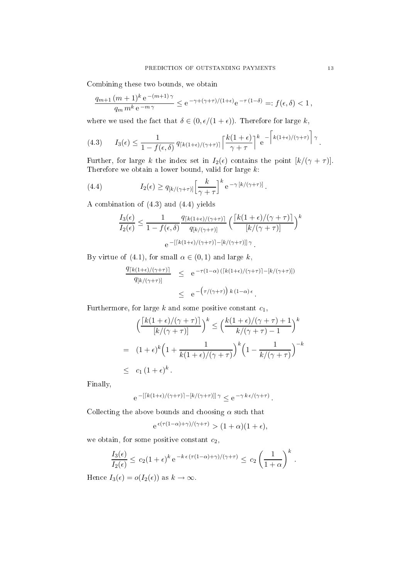Combining these two bounds, we obtain

$$
\frac{q_{m+1}(m+1)^k e^{-(m+1)\gamma}}{q_m m^k e^{-m\gamma}} \le e^{-\gamma + (\gamma + \tau)/(1+\epsilon)} e^{-\tau (1-\delta)} =: f(\epsilon, \delta) < 1,
$$

where we used the fact that  $\delta \in (0, \epsilon/(1+\epsilon))$ . Therefore for large k,

(4.3) 
$$
I_3(\epsilon) \leq \frac{1}{1 - f(\epsilon, \delta)} q_{\lceil k(1+\epsilon)/(\gamma+\tau) \rceil} \left\lceil \frac{k(1+\epsilon)}{\gamma+\tau} \right\rceil^k e^{-\left\lceil k(1+\epsilon)/(\gamma+\tau) \right\rceil \gamma}
$$

Further, for large k the index set in  $I_2(\epsilon)$  contains the point  $\left[\frac{k}{(\gamma + \tau)}\right]$ . Therefore we obtain a lower bound, valid for large  $k$ :

(4.4) 
$$
I_2(\epsilon) \ge q_{[k/(\gamma+\tau)]} \left[\frac{k}{\gamma+\tau}\right]^k e^{-\gamma [k/(\gamma+\tau)]}.
$$

A ombination of (4.3) aud (4.4) yields

$$
\frac{I_3(\epsilon)}{I_2(\epsilon)} \le \frac{1}{1 - f(\epsilon, \delta)} \frac{q_{\lceil k(1+\epsilon)/(\gamma+\tau) \rceil}}{q_{\lceil k/(\gamma+\tau) \rceil}} \left( \frac{\lceil k(1+\epsilon)/(\gamma+\tau) \rceil}{\lceil k/(\gamma+\tau) \rceil} \right)^k
$$

$$
e^{-\lceil k(1+\epsilon)/(\gamma+\tau) \rceil - \lceil k/(\gamma+\tau) \rceil \gamma}.
$$

By virtue of (4.1), for small  $\alpha \in (0,1)$  and large k,

$$
\frac{q_{[k(1+\epsilon)/(\gamma+\tau)]}}{q_{[k/(\gamma+\tau)]}} \leq e^{-\tau(1-\alpha)([k(1+\epsilon)/(\gamma+\tau)]-[k/(\gamma+\tau)])} \leq e^{-(\tau/(\gamma+\tau)) k (1-\alpha)\epsilon}.
$$

Furthermore, for large  $k$  and some positive constant  $c_1$ ,

$$
\left(\frac{\left[k(1+\epsilon)/(\gamma+\tau)\right]}{[k/(\gamma+\tau)]}\right)^k \le \left(\frac{k(1+\epsilon)/(\gamma+\tau)+1}{k/(\gamma+\tau)-1}\right)^k
$$
\n
$$
= (1+\epsilon)^k \left(1+\frac{1}{k(1+\epsilon)/(\gamma+\tau)}\right)^k \left(1-\frac{1}{k/(\gamma+\tau)}\right)^{-k}
$$
\n
$$
\leq c_1 (1+\epsilon)^k.
$$

Finally,

$$
e^{-\left[\left\lceil k(1+\epsilon)/(\gamma+\tau)\right\rceil - \left[k/(\gamma+\tau)\right]\right]\gamma} \leq e^{-\gamma k \epsilon/(\gamma+\tau)}.
$$

Collecting the above bounds and choosing  $\alpha$  such that

$$
e^{\epsilon(\tau(1-\alpha)+\gamma)/(\gamma+\tau)} > (1+\alpha)(1+\epsilon),
$$

we obtain, for some positive constant  $c_2$ ,

$$
\frac{I_3(\epsilon)}{I_2(\epsilon)} \le c_2 (1+\epsilon)^k e^{-k \epsilon (\tau (1-\alpha)+\gamma)/(\gamma+\tau)} \le c_2 \left(\frac{1}{1+\alpha}\right)^k.
$$

Hence  $I_3(\epsilon) = o(I_2(\epsilon))$  as  $k \to \infty$ .

.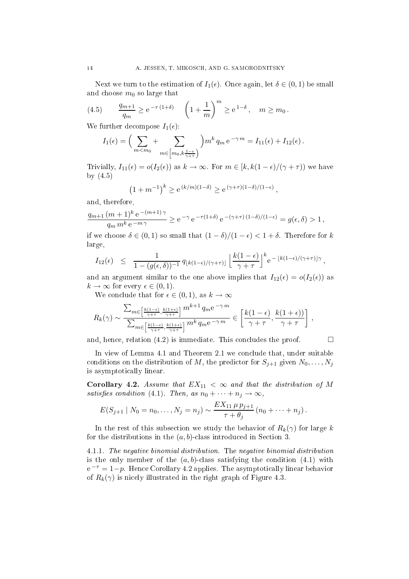Next we turn to the estimation of  $I_1(\epsilon)$ . Once again, let  $\delta \in (0,1)$  be small and choose  $m_0$  so large that

(4.5) 
$$
\frac{q_{m+1}}{q_m} \ge e^{-\tau (1+\delta)} \left(1 + \frac{1}{m}\right)^m \ge e^{1-\delta}, \quad m \ge m_0.
$$

We further decompose  $I_1(\epsilon)$ :

$$
I_1(\epsilon) = \left(\sum_{m < m_0} + \sum_{m \in \left[m_0, k \frac{1-\epsilon}{\gamma + \tau}\right]} \right) m^k q_m e^{-\gamma m} = I_{11}(\epsilon) + I_{12}(\epsilon).
$$

Trivially,  $I_{11}(\epsilon) = o(I_2(\epsilon))$  as  $k \to \infty$ . For  $m \in [k, k(1-\epsilon)/(\gamma+\tau))$  we have by (4.5)

$$
(1 + m^{-1})^k \ge e^{(k/m)(1 - \delta)} \ge e^{(\gamma + \tau)(1 - \delta)/(1 - \epsilon)},
$$

and, therefore,

$$
\frac{q_{m+1} (m+1)^k \, {\rm e}^{-(m+1)\,\gamma}}{q_m \, m^k \, {\rm e}^{-m\,\gamma}} \geq {\rm e}^{-\gamma} \, {\rm e}^{-\tau (1+\delta)} \, {\rm e}^{-(\gamma+\tau) \, (1-\delta)/(1-\epsilon)} = g(\epsilon,\delta) > 1 \, ,
$$

if we choose  $\delta \in (0,1)$  so small that  $(1-\delta)/(1-\epsilon) < 1+\delta$ . Therefore for k large,

$$
I_{12}(\epsilon) \leq \frac{1}{1-(g(\epsilon,\delta))^{-1}} q_{\lfloor k(1-\epsilon)/(\gamma+\tau) \rfloor} \left\lfloor \frac{k(1-\epsilon)}{\gamma+\tau} \right\rfloor^k e^{-\lfloor k(1-\epsilon)/(\gamma+\tau) \rfloor \gamma},
$$

and an argument similar to the one above implies that  $I_{12}(\epsilon) = o(I_2(\epsilon))$  as  $k \to \infty$  for every  $\epsilon \in (0,1)$ .

We conclude that for  $\epsilon \in (0,1)$ , as  $k \to \infty$ 

$$
R_k(\gamma) \sim \frac{\sum_{m \in \left[\frac{k(1-\epsilon)}{\gamma+\tau}, \frac{k(1+\epsilon)}{\gamma+\tau}\right]} m^{k+1} q_m e^{-\gamma m}}{\sum_{m \in \left[\frac{k(1-\epsilon)}{\gamma+\tau}, \frac{k(1+\epsilon)}{\gamma+\tau}\right]} m^k q_m e^{-\gamma m}} \in \left[\frac{k(1-\epsilon)}{\gamma+\tau}, \frac{k(1+\epsilon)}{\gamma+\tau}\right],
$$

and, hence, relation  $(4.2)$  is immediate. This concludes the proof

$$
\qquad \qquad \Box
$$

In view of Lemma 4.1 and Theorem 2.1 we conclude that, under suitable conditions on the distribution of M, the predictor for  $S_{j+1}$  given  $N_0, \ldots, N_j$ is asymptoti
ally linear.

Corollary 4.2. Assume that  $EX_{11} < \infty$  and that the distribution of M satisfies condition (4.1). Then, as  $n_0 + \cdots + n_j \rightarrow \infty$ ,

$$
E(S_{j+1} | N_0 = n_0, \ldots, N_j = n_j) \sim \frac{EX_{11} \mu p_{j+1}}{\tau + \theta_j} (n_0 + \cdots + n_j).
$$

In the rest of this subsection we study the behavior of  $R_k(\gamma)$  for large k for the distributions in the  $(a, b)$ -class introduced in Section 3.

4.1.1. The negative binomial distribution. The negative binomial distribution is the only member of the  $(a, b)$ -class satisfying the condition  $(4.1)$  with  $e^{-\tau} = 1-p$ . Hence Corollary 4.2 applies. The asymptotically linear behavior of  $R_k(\gamma)$  is nicely illustrated in the right graph of Figure 4.3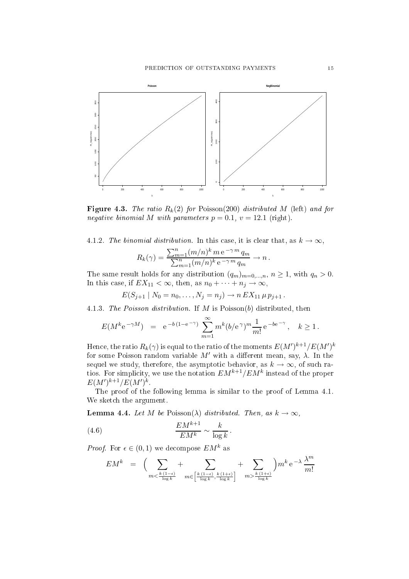

Figure 4.3. The ratio  $R_k(2)$  for Poisson(200) distributed M (left) and for negative binomial M with parameters  $p = 0.1$ ,  $v = 12.1$  (right).

4.1.2. The binomial distribution. In this case, it is clear that, as  $k \to \infty$ ,

$$
R_k(\gamma) = \frac{\sum_{m=1}^n (m/n)^k m e^{-\gamma m} q_m}{\sum_{m=1}^n (m/n)^k e^{-\gamma m} q_m} \to n.
$$

The same result holds for any distribution  $(q_m)_{m=0,\dots,n}$ ,  $n \ge 1$ , with  $q_n > 0$ . In this case, if  $EX_{11} < \infty$ , then, as  $n_0 + \cdots + n_j \to \infty$ ,

 $E(S_{i+1} | N_0 = n_0, \ldots, N_i = n_i) \rightarrow n EX_{11} \mu p_{i+1}$ .

4.1.3. The Poisson distribution. If M is Poisson(b) distributed, then

$$
E(M^k e^{-\gamma M}) = e^{-b(1-e^{-\gamma})} \sum_{m=1}^{\infty} m^k (b/e^{\gamma})^m \frac{1}{m!} e^{-be^{-\gamma}}, \quad k \ge 1.
$$

Hence, the ratio  $R_k(\gamma)$  is equal to the ratio of the moments  $E(M')^{k+1}/E(M')^k$ for some Poisson random variable  $M'$  with a different mean, say,  $\lambda$ . In the sequel we study, therefore, the asymptotic behavior, as  $k \to \infty$ , of such ratios. For simplicity, we use the notation  $EM^{k+1}/EM^k$  instead of the proper  $E(M')^{k+1}/E(M')^{k}$ 

The proof of the following lemma is similar to the proof of Lemma 4.1. We sketch the argument.

**Lemma 4.4.** Let M be Poisson( $\lambda$ ) distributed. Then, as  $k \to \infty$ ,

(4.6) 
$$
\frac{EM^{k+1}}{EM^k} \sim \frac{k}{\log k}.
$$

*Proof.* For  $\epsilon \in (0,1)$  we decompose  $EM^k$  as

$$
EM^k = \left( \sum_{m < \frac{k(1-\epsilon)}{\log k}} + \sum_{m \in \left[\frac{k(1-\epsilon)}{\log k}, \frac{k(1+\epsilon)}{\log k}\right]} + \sum_{m > \frac{k(1+\epsilon)}{\log k}} \right) m^k e^{-\lambda} \frac{\lambda^m}{m!}
$$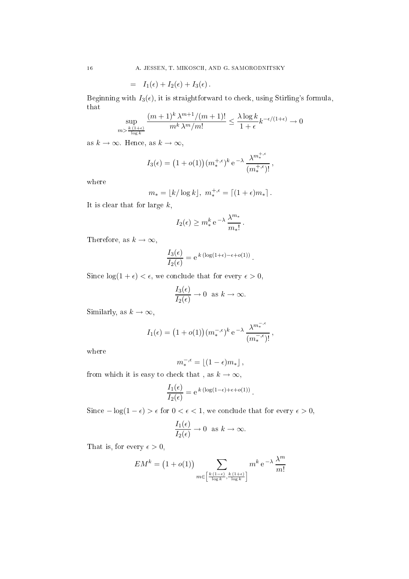$$
= I_1(\epsilon) + I_2(\epsilon) + I_3(\epsilon).
$$

Beginning with  $I_3(\epsilon)$ , it is straightforward to check, using Stirling's formula, that

$$
\sup_{m > \frac{k(1+\epsilon)}{\log k}} \frac{(m+1)^k \lambda^{m+1} / (m+1)!}{m^k \lambda^m / m!} \le \frac{\lambda \log k}{1+\epsilon} k^{-\epsilon/(1+\epsilon)} \to 0
$$

as  $k \to \infty$ . Hence, as  $k \to \infty$ ,

$$
I_3(\epsilon) = \left(1 + o(1)\right)(m_*^{+,\epsilon})^k e^{-\lambda} \frac{\lambda^{m_*^{+,\epsilon}}}{(m_*^{+,\epsilon})!},
$$

where

$$
m_* = \lfloor k/\log k \rfloor, \; m_*^{+,\epsilon} = \lceil (1+\epsilon)m_* \rceil \, .
$$

It is clear that for large  $k$ ,

$$
I_2(\epsilon) \ge m_*^k e^{-\lambda} \frac{\lambda^{m_*}}{m_*!}.
$$

Therefore, as  $k \to \infty$ ,

$$
\frac{I_3(\epsilon)}{I_2(\epsilon)} = e^{k (\log(1+\epsilon) - \epsilon + o(1))}.
$$

Since  $\log(1+\epsilon) < \epsilon$ , we conclude that for every  $\epsilon > 0$ ,

$$
\frac{I_3(\epsilon)}{I_2(\epsilon)} \to 0 \text{ as } k \to \infty.
$$

Similarly, as  $k \to \infty$ ,

$$
I_1(\epsilon) = \left(1 + o(1)\right)(m_*^{-,\epsilon})^k e^{-\lambda} \frac{\lambda^{m_*^{-,\epsilon}}}{(m_*^{-,\epsilon})!},
$$

where

$$
m_*^{-,\epsilon} = \lfloor (1-\epsilon)m_* \rfloor \,,
$$

from which it is easy to check that, as  $k \to \infty$ ,

$$
\frac{I_1(\epsilon)}{I_2(\epsilon)} = e^{k (\log(1-\epsilon) + \epsilon + o(1))}.
$$

Since  $-\log(1-\epsilon) > \epsilon$  for  $0 < \epsilon < 1$ , we conclude that for every  $\epsilon > 0$ ,

$$
\frac{I_1(\epsilon)}{I_2(\epsilon)} \to 0 \text{ as } k \to \infty.
$$

That is, for every  $\epsilon > 0$ ,

$$
EM^k = (1 + o(1)) \sum_{m \in \left[\frac{k(1-\epsilon)}{\log k}, \frac{k(1+\epsilon)}{\log k}\right]} m^k e^{-\lambda} \frac{\lambda^m}{m!}
$$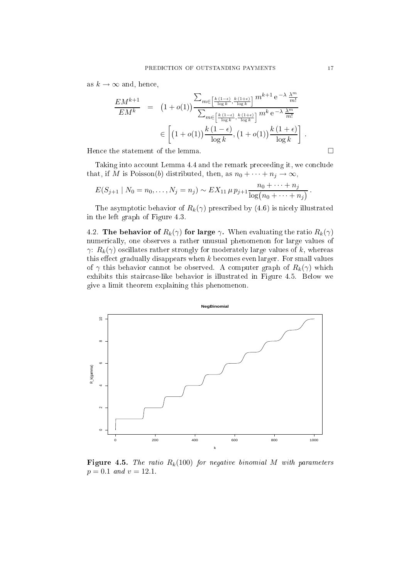as  $k \to \infty$  and, hence,

$$
\frac{EM^{k+1}}{EM^k} = (1+o(1)) \frac{\sum_{m \in \left[\frac{k(1-\epsilon)}{\log k}, \frac{k(1+\epsilon)}{\log k}\right]} m^{k+1} e^{-\lambda} \frac{\lambda^m}{m!}}{\sum_{m \in \left[\frac{k(1-\epsilon)}{\log k}, \frac{k(1+\epsilon)}{\log k}\right]} m^k e^{-\lambda} \frac{\lambda^m}{m!}}
$$
\n
$$
\in \left[ (1+o(1)) \frac{k(1-\epsilon)}{\log k}, (1+o(1)) \frac{k(1+\epsilon)}{\log k} \right].
$$

Hence the statement of the lemma.  $\Box$ 

Taking into account Lemma 4.4 and the remark preceeding it, we conclude that, if M is Poisson(b) distributed, then, as  $n_0 + \cdots + n_j \to \infty$ ,

$$
E(S_{j+1} | N_0 = n_0, ..., N_j = n_j) \sim EX_{11} \mu p_{j+1} \frac{n_0 + \dots + n_j}{\log(n_0 + \dots + n_j)}.
$$

The asymptotic behavior of  $R_k(\gamma)$  prescribed by (4.6) is nicely illustrated in the left graph of Figure 4.3.

4.2. The behavior of  $R_k(\gamma)$  for large  $\gamma$ . When evaluating the ratio  $R_k(\gamma)$ numeri
ally, one observes a rather unusual phenomenon for large values of  $\gamma$ :  $R_k(\gamma)$  oscillates rather strongly for moderately large values of k, whereas this effect gradually disappears when  $k$  becomes even larger. For small values of  $\gamma$  this behavior cannot be observed. A computer graph of  $R_k(\gamma)$  which exhibits this stair
ase-like behavior is illustrated in Figure 4.5. Below we give a limit theorem explaining this phenomenon.



Figure 4.5. The ratio  $R_k(100)$  for negative binomial M with parameters  $p = 0.1$  and  $v = 12.1$ .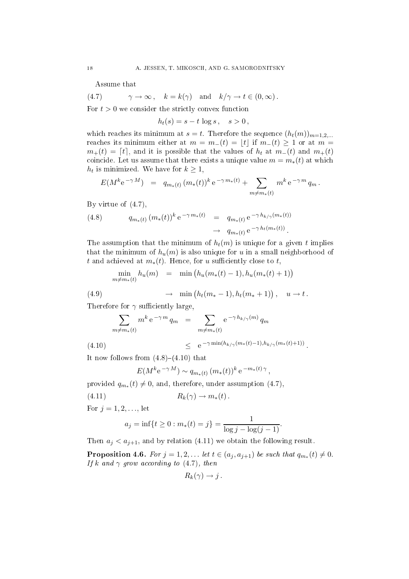Assume that

(4.7)  $\gamma \to \infty$ ,  $k = k(\gamma)$  and  $k/\gamma \to t \in (0, \infty)$ .

For  $t > 0$  we consider the strictly convex function

$$
h_t(s) = s - t \log s, \quad s > 0,
$$

which reaches its minimum at  $s = t$ . Therefore the sequence  $(h_t(m))_{m=1,2,...}$ reaches its minimum either at  $m = m_-(t) = |t|$  if  $m_-(t) \geq 1$  or at  $m =$  $m_{+}(t) = [t]$ , and it is possible that the values of  $h_t$  at  $m_{-}(t)$  and  $m_{+}(t)$ coincide. Let us assume that there exists a unique value  $m = m_*(t)$  at which  $h_t$  is minimized. We have for  $k \geq 1$ ,

$$
E(M^k e^{-\gamma M}) = q_{m_*(t)} (m_*(t))^k e^{-\gamma m_*(t)} + \sum_{m \neq m_*(t)} m^k e^{-\gamma m} q_m.
$$

By virtue of (4.7),

(4.8) 
$$
q_{m_*(t)} (m_*(t))^k e^{-\gamma m_*(t)} = q_{m_*(t)} e^{-\gamma h_{k/\gamma}(m_*(t))} \n\to q_{m_*(t)} e^{-\gamma h_t(m_*(t))}.
$$

The assumption that the minimum of  $h_t(m)$  is unique for a given t implies that the minimum of  $h_u(m)$  is also unique for u in a small neighborhood of t and achieved at  $m_*(t)$ . Hence, for u sufficiently close to t,

$$
\min_{m \neq m_*(t)} h_u(m) = \min (h_u(m_*(t) - 1), h_u(m_*(t) + 1))
$$

(4.9) 
$$
\rightarrow \min(h_t(m_*-1), h_t(m_*+1)), u \rightarrow t.
$$

Therefore for  $\gamma$  sufficiently large,

$$
\sum_{m \neq m_*(t)} m^k e^{-\gamma m} q_m = \sum_{m \neq m_*(t)} e^{-\gamma h_{k/\gamma}(m)} q_m
$$

$$
(4.10) \t\t\t\t\t\t e^{-\gamma \min(h_{k/\gamma}(m_*(t)-1), h_{k/\gamma}(m_*(t)+1))}.
$$

It now follows from  $(4.8)-(4.10)$  that

$$
E(M^k e^{-\gamma M}) \sim q_{m_*(t)} (m_*(t))^k e^{-m_*(t)\gamma},
$$

provided  $q_{m_*}(t) \neq 0$ , and, therefore, under assumption  $(4.7)$ ,

$$
(4.11) \t R_k(\gamma) \to m_*(t).
$$

For  $j = 1, 2, ...,$  let

$$
a_j = inf\{t \ge 0 : m_*(t) = j\} = \frac{1}{log j - log(j - 1)}
$$
.

Then  $a_j < a_{j+1}$ , and by relation (4.11) we obtain the following result.

**Proposition 4.6.** For  $j = 1, 2, ...$  let  $t \in (a_j, a_{j+1})$  be such that  $q_{m*}(t) \neq 0$ . If k and  $\gamma$  grow according to (4.7), then

$$
R_k(\gamma) \to j.
$$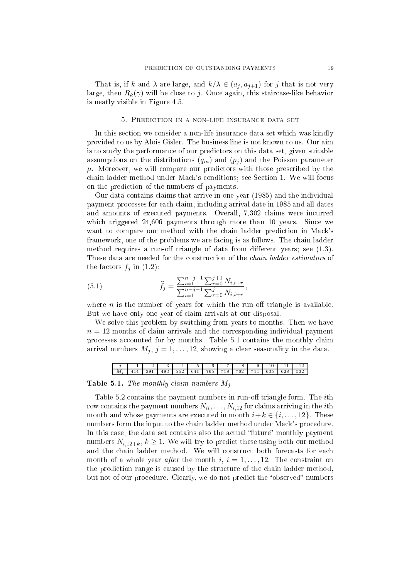That is, if k and  $\lambda$  are large, and  $k/\lambda \in (a_i, a_{i+1})$  for j that is not very large, then  $R_k(\gamma)$  will be close to j. Once again, this staircase-like behavior is neatly visible in Figure 4.5.

#### 5. Predi
tion in a non-life insuran
e data set

In this section we consider a non-life insurance data set which was kindly provided to us by Alois Gisler. The business line is not known to us. Our aim is to study the performan
e of our predi
tors on this data set, given suitable assumptions on the distributions  $(q_m)$  and  $(p_i)$  and the Poisson parameter  $\mu$ . Moreover, we will compare our predictors with those prescribed by the chain ladder method under Mack's conditions; see Section 1. We will focus on the predi
tion of the numbers of payments.

Our data contains claims that arrive in one year (1985) and the individual payment pro
esses for ea
h laim, in
luding arrival date in 1985 and all dates and amounts of executed payments. Overall, 7,302 claims were incurred which triggered 24,606 payments through more than 10 years. Since we want to compare our method with the chain ladder prediction in Mack's framework, one of the problems we are facing is as follows. The chain ladder method requires a run-off triangle of data from different years; see  $(1.3)$ . These data are needed for the construction of the *chain ladder estimators* of the factors  $f_i$  in (1.2):

(5.1) 
$$
\widehat{f}_j = \frac{\sum_{i=1}^{n-j-1} \sum_{r=0}^{j+1} N_{i,i+r}}{\sum_{i=1}^{n-j-1} \sum_{r=0}^{j} N_{i,i+r}},
$$

where  $n$  is the number of years for which the run-off triangle is available But we have only one year of laim arrivals at our disposal.

We solve this problem by switching from years to months. Then we have  $n = 12$  months of claim arrivals and the corresponding individual payment processes accounted for by months. Table 5.1 contains the monthly claim arrival numbers  $M_i$ ,  $j = 1, ..., 12$ , showing a clear seasonality in the data.

|   | л. | o       | $\cdot$<br>ω | Δ<br>-                                      | ۔<br>ь<br>ر | e<br>ັ | -   | Ő   | U              |              | . .<br>-- | --<br>-- |
|---|----|---------|--------------|---------------------------------------------|-------------|--------|-----|-----|----------------|--------------|-----------|----------|
| М |    | ٠,<br>ັ | ω<br>ΞJ      | ビビの<br>ь.<br>,,<br>$\overline{\phantom{0}}$ | c<br>. .    | 705    | . . | 700 | -<br>. .<br>__ | eэ.<br>، ن ن | 628       | どうの      |
|   |    |         |              |                                             |             |        |     |     |                |              |           |          |

Table 5.1. The monthly claim numbers  $M_j$ 

Table  $5.2$  contains the payment numbers in run-off triangle form. The *i*th row contains the payment numbers  $N_{ii}, \ldots, N_{i,12}$  for claims arriving in the *i*th month and whose payments are executed in month  $i+k \in \{i, \ldots, 12\}$ . These numbers form the input to the chain ladder method under Mack's procedure. In this case, the data set contains also the actual "future" monthly payment numbers  $N_{i,12+k}$ ,  $k \geq 1$ . We will try to predict these using both our method and the chain ladder method. We will construct both forecasts for each month of a whole year *after* the month  $i, i = 1, \ldots, 12$ . The constraint on the predi
tion range is aused by the stru
ture of the hain ladder method, but not of our procedure. Clearly, we do not predict the "observed" numbers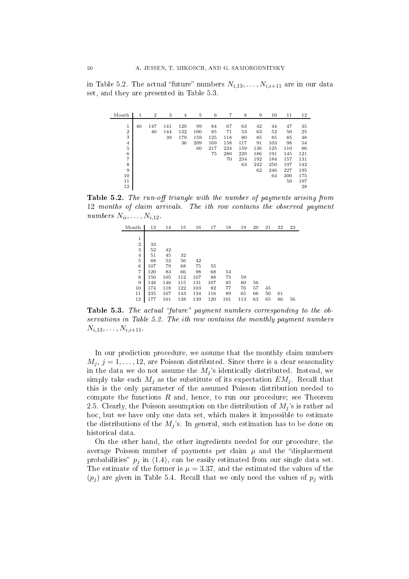in Table 5.2. The actual "future" numbers  $N_{i,13}, \ldots, N_{i,i+11}$  are in our data set, and they are presented in Table 5.3.

| Month            | 1  | $\overline{2}$ | 3   | $\overline{4}$ | 5   | 6   | 7   | 8   | 9   | 10  | 11  | 12  |
|------------------|----|----------------|-----|----------------|-----|-----|-----|-----|-----|-----|-----|-----|
|                  |    |                |     |                |     |     |     |     |     |     |     |     |
| 1                | 40 | 147            | 141 | 120            | 99  | 84  | 67  | 63  | 42  | 44  | 47  | 35  |
| $\boldsymbol{2}$ |    | 40             | 144 | 132            | 100 | 85  | 71  | 53  | 63  | 52  | 50  | 25  |
| 3                |    |                | 39  | 179            | 159 | 125 | 118 | 80  | 85  | 85  | 85  | 48  |
| $\overline{4}$   |    |                |     | 36             | 209 | 169 | 158 | 117 | 91  | 103 | 98  | 54  |
| 5                |    |                |     |                | 60  | 217 | 224 | 159 | 136 | 125 | 110 | 86  |
| 6                |    |                |     |                |     | 75  | 280 | 229 | 186 | 191 | 145 | 121 |
| $\overline{7}$   |    |                |     |                |     |     | 70  | 234 | 192 | 184 | 157 | 131 |
| 8                |    |                |     |                |     |     |     | 63  | 242 | 250 | 197 | 142 |
| 9                |    |                |     |                |     |     |     |     | 62  | 246 | 227 | 195 |
| 10               |    |                |     |                |     |     |     |     |     | 64  | 200 | 175 |
| 11               |    |                |     |                |     |     |     |     |     |     | 59  | 197 |
| 12               |    |                |     |                |     |     |     |     |     |     |     | 28  |

Table 5.2. The run-off triangle with the number of payments arising from 12 months of claim arrivals. The ith row contains the observed payment numbers  $N_{ii}, \ldots, N_{i,12}$ .

| Month          | 13  | 14  | 15  | 16  | 17  | 18  | 19  | 20 | 21 | 22 | 23 |
|----------------|-----|-----|-----|-----|-----|-----|-----|----|----|----|----|
|                |     |     |     |     |     |     |     |    |    |    |    |
| 1              |     |     |     |     |     |     |     |    |    |    |    |
| $\overline{2}$ | 33  |     |     |     |     |     |     |    |    |    |    |
| 3              | 52  | 42  |     |     |     |     |     |    |    |    |    |
| $\overline{4}$ | 51  | 45  | 32  |     |     |     |     |    |    |    |    |
| 5              | 68  | 53  | 56  | 42  |     |     |     |    |    |    |    |
| 6              | 107 | 79  | 68  | 75  | 55  |     |     |    |    |    |    |
| 7              | 120 | 83  | 66  | 98  | 68  | 54  |     |    |    |    |    |
| 8              | 150 | 105 | 112 | 107 | 88  | 75  | 59  |    |    |    |    |
| 9              | 148 | 140 | 115 | 131 | 107 | 85  | 80  | 56 |    |    |    |
| 10             | 174 | 118 | 122 | 103 | 82  | 77  | 76  | 57 | 45 |    |    |
| 11             | 235 | 167 | 143 | 134 | 116 | 89  | 65  | 66 | 50 | 61 |    |
| 12             | 177 | 161 | 138 | 139 | 120 | 101 | 113 | 63 | 65 | 86 | 56 |

Table 5.3. The actual "future" payment numbers corresponding to the observations in Table 5.2. The ith row contains the monthly payment numbers  $N_{i,13}, \ldots, N_{i,i+11}.$ 

In our prediction procedure, we assume that the monthly claim numbers  $M_j$ ,  $j = 1, \ldots, 12$ , are Poisson distributed. Since there is a clear seasonality in the data we do not assume the  $M_j$ 's identically distributed. Instead, we simply take each  $M_i$  as the substitute of its expectation  $EM_i$ . Recall that this is the only parameter of the assumed Poisson distribution needed to compute the functions  $R$  and, hence, to run our procedure; see Theorem 2.5. Clearly, the Poisson assumption on the distribution of  $M_i$ 's is rather ad ho
, but we have only one data set, whi
h makes it impossible to estimate the distributions of the  $M_j$ 's. In general, such estimation has to be done on histori
al data.

On the other hand, the other ingredients needed for our pro
edure, the average Poisson number of payments per claim  $\mu$  and the "displacement" probabilities"  $p_i$  in (1.4), can be easily estimated from our single data set. The estimate of the former is  $\mu = 3.37$ , and the estimated the values of the  $(p_i)$  are given in Table 5.4. Recall that we only need the values of  $p_i$  with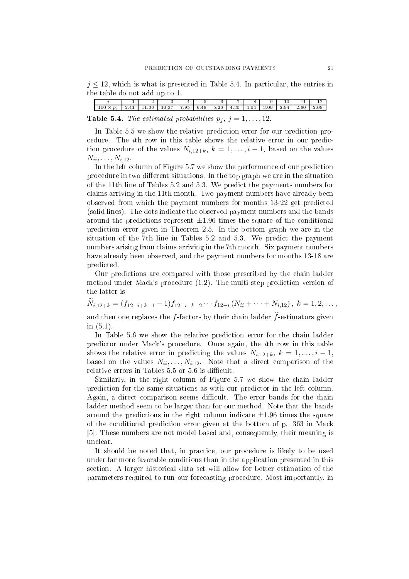$j \leq 12$ , which is what is presented in Table 5.4. In particular, the entries in the table do not add up to 1.

| j   1   2   3   4   5   6   7   8   9   10   11   12                           |  |  |  |  |  |  |
|--------------------------------------------------------------------------------|--|--|--|--|--|--|
| $100 \times p_i$ 2.41 11.36 10.37 7.95 6.49 5.26 4.30 4.04 3.00 2.94 2.60 2.09 |  |  |  |  |  |  |
| <b>Table 5.4.</b> The estimated probabilities $p_i$ , $j = 1, \ldots, 12$ .    |  |  |  |  |  |  |

In Table 5.5 we show the relative prediction error for our prediction proedure. The ith row in this table shows the relative error in our predi
 tion procedure of the values  $N_{i,12+k}$ ,  $k = 1, \ldots, i-1$ , based on the values  $N_{ii}, \ldots, N_{i,12}$ .

In the left column of Figure 5.7 we show the performance of our prediction procedure in two different situations. In the top graph we are in the situation of the 11th line of Tables 5.2 and 5.3. We predi
t the payments numbers for claims arriving in the 11th month. Two payment numbers have already been observed from whi
h the payment numbers for months 13-22 get predi
ted (solid lines). The dots indicate the observed payment numbers and the bands around the predictions represent  $\pm 1.96$  times the square of the conditional predi
tion error given in Theorem 2.5. In the bottom graph we are in the situation of the 7<sup>th</sup> line in Tables 5.2 and 5.3. We predict the payment numbers arising from claims arriving in the 7<sup>th</sup> month. Six payment numbers have already been observed, and the payment numbers for months 13-18 are predi
ted.

Our predictions are compared with those prescribed by the chain ladder method under Ma
k's pro
edure (1.2). The multi-step predi
tion version of the latter is

 $N_{i,12+k} = (f_{12-i+k-1}-1)f_{12-i+k-2}\cdots f_{12-i}(N_{ii}+\cdots+N_{i,12}), k = 1,2,\ldots,$ 

and then one replaces the f-factors by their chain ladder  $\hat{f}$ -estimators given in (5.1).

In Table 5.6 we show the relative prediction error for the chain ladder predictor under Mack's procedure. Once again, the *i*th row in this table shows the relative error in predicting the values  $N_{i,12+k}$ ,  $k = 1, \ldots, i-1$ , based on the values  $N_{ii}, \ldots, N_{i,12}$ . Note that a direct comparison of the relative errors in Tables  $5.5$  or  $5.6$  is difficult.

Similarly, in the right column of Figure 5.7 we show the chain ladder prediction for the same situations as with our predictor in the left column. Again, a direct comparison seems difficult. The error bands for the chain ladder method seem to be larger than for our method. Note that the bands around the predictions in the right column indicate  $\pm 1.96$  times the square of the onditional predi
tion error given at the bottom of p. 363 in Ma
k [5]. These numbers are not model based and, consequently, their meaning is un
lear.

It should be noted that, in practice, our procedure is likely to be used under far more favorable onditions than in the appli
ation presented in this se
tion. A larger histori
al data set will allow for better estimation of the parameters required to run our fore
asting pro
edure. Most importantly, in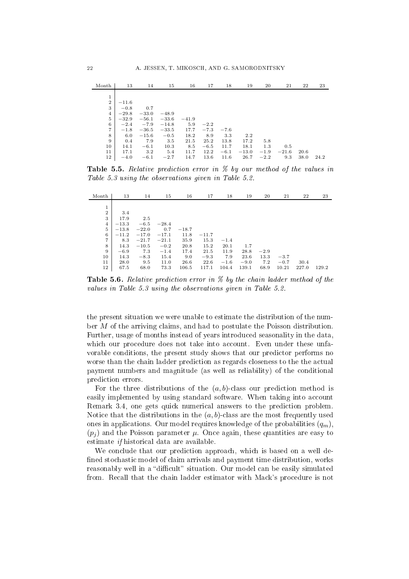| Month          | 13      | 14      | 15      | 16      | 17     | 18     | 19      | 20     | 21      | 22   | 23   |
|----------------|---------|---------|---------|---------|--------|--------|---------|--------|---------|------|------|
|                |         |         |         |         |        |        |         |        |         |      |      |
| 1              |         |         |         |         |        |        |         |        |         |      |      |
| $\overline{2}$ | $-11.6$ |         |         |         |        |        |         |        |         |      |      |
| 3              | $-0.8$  | 0.7     |         |         |        |        |         |        |         |      |      |
| $\,4$          | $-29.8$ | $-33.0$ | $-48.9$ |         |        |        |         |        |         |      |      |
| $\overline{5}$ | $-32.9$ | $-56.1$ | $-33.6$ | $-41.9$ |        |        |         |        |         |      |      |
| $\,6$          | $-2.4$  | $-7.9$  | $-14.8$ | 5.9     | $-2.2$ |        |         |        |         |      |      |
| $\overline{7}$ | $-1.8$  | $-36.5$ | $-33.5$ | 17.7    | $-7.3$ | $-7.6$ |         |        |         |      |      |
| 8              | 6.0     | $-15.6$ | $-0.5$  | 18.2    | 8.9    | 3.3    | 2.2     |        |         |      |      |
| 9              | 0.4     | 7.9     | 3.5     | 21.5    | 25.2   | 13.8   | 17.2    | 5.8    |         |      |      |
| 10             | 14.1    | $-6.1$  | 10.3    | 8.5     | $-6.5$ | 11.7   | 18.1    | 1.3    | 0.5     |      |      |
| 11             | 17.1    | 3.2     | 5.4     | 11.7    | 12.2   | $-6.1$ | $-13.0$ | $-1.9$ | $-21.6$ | 20.6 |      |
| 12             | $-4.0$  | $-6.1$  | $-2.7$  | 14.7    | 13.6   | 11.6   | 26.7    | $-2.2$ | 9.3     | 38.0 | 24.2 |

**Table 5.5.** Relative prediction error in  $\%$  by our method of the values in Table 5.3 using the observations given in Table 5.2.

| Month          | 13      | 14      | 15      | 16      | 17      | 18     | 19     | 20     | 21     | 22    | 23    |
|----------------|---------|---------|---------|---------|---------|--------|--------|--------|--------|-------|-------|
|                |         |         |         |         |         |        |        |        |        |       |       |
| $\mathbf{1}$   |         |         |         |         |         |        |        |        |        |       |       |
| $\overline{2}$ | 3.4     |         |         |         |         |        |        |        |        |       |       |
| 3              | 17.9    | 2.5     |         |         |         |        |        |        |        |       |       |
| $\overline{4}$ | $-13.3$ | $-6.5$  | $-28.4$ |         |         |        |        |        |        |       |       |
| 5              | $-13.8$ | $-22.0$ | 0.7     | $-18.7$ |         |        |        |        |        |       |       |
| 6              | $-11.2$ | $-17.0$ | $-17.1$ | 11.8    | $-11.7$ |        |        |        |        |       |       |
| $\overline{7}$ | 8.3     | $-21.7$ | $-21.1$ | 35.9    | 15.3    | $-1.4$ |        |        |        |       |       |
| 8              | 14.3    | $-10.5$ | $-0.2$  | 20.8    | 15.2    | 20.1   | 1.7    |        |        |       |       |
| 9              | $-6.9$  | 7.3     | $-1.4$  | 17.4    | 21.5    | 11.9   | 28.8   | $-2.9$ |        |       |       |
| 10             | 14.3    | $-8.3$  | 15.4    | 9.0     | $-9.3$  | 7.9    | 23.6   | 13.3   | $-3.7$ |       |       |
| 11             | 28.0    | 9.5     | 11.0    | 26.6    | 22.6    | $-1.6$ | $-9.0$ | 7.2    | $-0.7$ | 30.4  |       |
| 12             | 67.5    | 68.0    | 73.3    | 106.5   | 117.1   | 104.4  | 139.1  | 68.9   | 10.21  | 227.0 | 129.2 |

**Table 5.6.** Relative prediction error in  $\%$  by the chain ladder method of the values in Table 5.3 using the observations given in Table 5.2.

the present situation we were unable to estimate the distribution of the number M of the arriving laims, and had to postulate the Poisson distribution. Further, usage of months instead of years introdu
ed seasonality in the data, which our procedure does not take into account. Even under these unfavorable onditions, the present study shows that our predi
tor performs no worse than the chain ladder prediction as regards closeness to the the actual payment numbers and magnitude (as well as reliability) of the onditional prediction errors.

For the three distributions of the  $(a, b)$ -class our prediction method is easily implemented by using standard software. When taking into account Remark 3.4, one gets quick numerical answers to the prediction problem. Notice that the distributions in the  $(a, b)$ -class are the most frequently used ones in applications. Our model requires knowledge of the probabilities  $(q_m)$ ,  $(p_i)$  and the Poisson parameter  $\mu$ . Once again, these quantities are easy to estimate *if* historical data are available.

We conclude that our prediction approach, which is based on a well defined stochastic model of claim arrivals and payment time distribution, works reasonably well in a "difficult" situation. Our model can be easily simulated from. Recall that the chain ladder estimator with Mack's procedure is not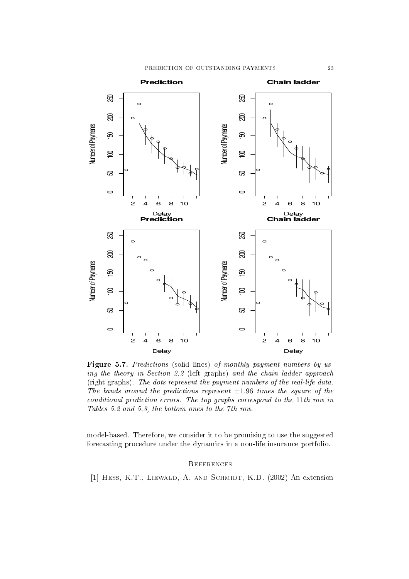

Figure 5.7. Predictions (solid lines) of monthly payment numbers by using the theory in Section 2.2 (left graphs) and the chain ladder approach (right graphs). The dots represent the payment numbers of the real-life data. The bands around the predictions represent  $\pm 1.96$  times the square of the conditional prediction errors. The top graphs correspond to the 11th row in Tables 5.2 and 5.3, the bottom ones to the 7th row.

model-based. Therefore, we consider it to be promising to use the suggested fore
asting pro
edure under the dynami
s in a non-life insuran
e portfolio.

## **REFERENCES**

[1] HESS, K.T., LIEWALD, A. AND SCHMIDT, K.D. (2002) An extension